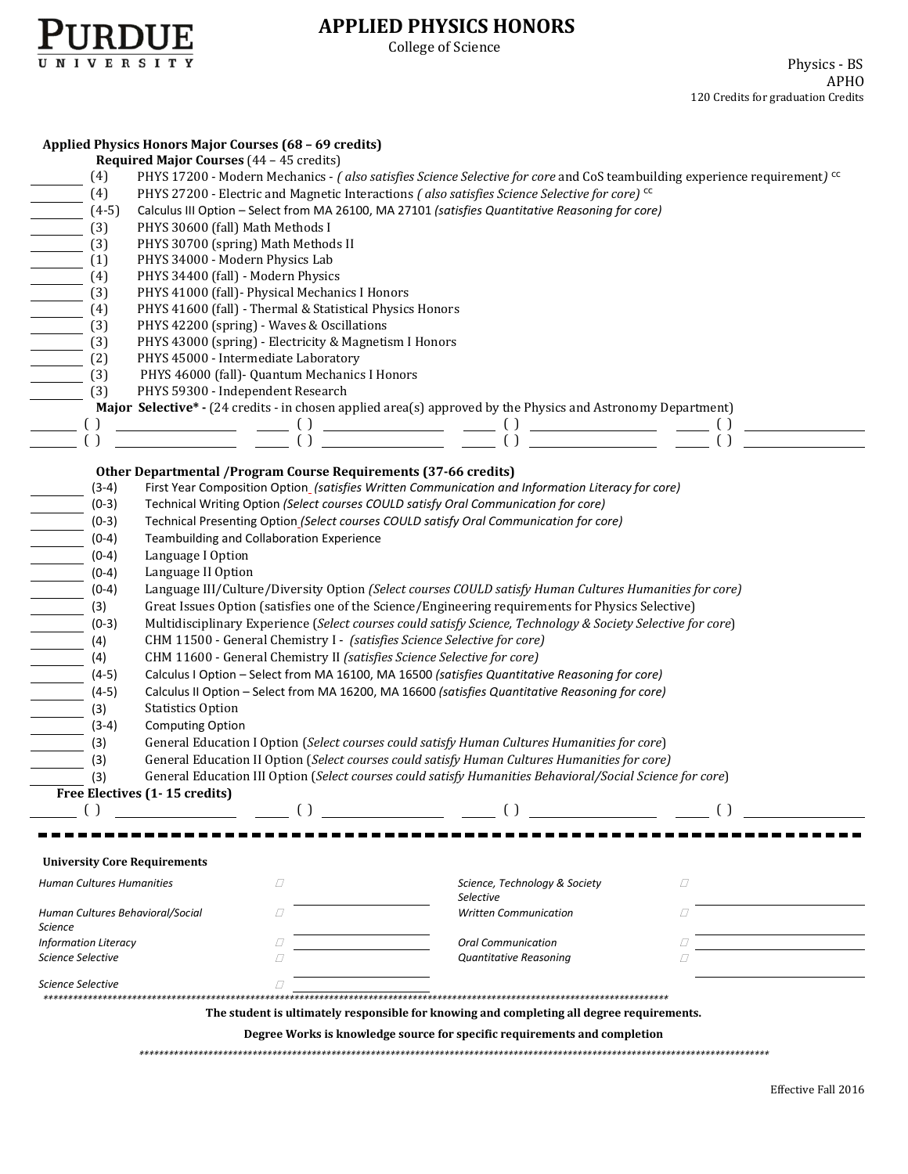

## **APPLIED PHYSICS HONORS**

College of Science

|                                                                           | Applied Physics Honors Major Courses (68 - 69 credits)                                                                                |                                            |   |  |  |  |  |
|---------------------------------------------------------------------------|---------------------------------------------------------------------------------------------------------------------------------------|--------------------------------------------|---|--|--|--|--|
| Required Major Courses (44 - 45 credits)                                  |                                                                                                                                       |                                            |   |  |  |  |  |
| (4)                                                                       | PHYS 17200 - Modern Mechanics - (also satisfies Science Selective for core and CoS teambuilding experience requirement) <sup>cc</sup> |                                            |   |  |  |  |  |
| (4)                                                                       | PHYS 27200 - Electric and Magnetic Interactions (also satisfies Science Selective for core) <sup>cc</sup>                             |                                            |   |  |  |  |  |
| $(4-5)$                                                                   | Calculus III Option - Select from MA 26100, MA 27101 (satisfies Quantitative Reasoning for core)                                      |                                            |   |  |  |  |  |
| (3)                                                                       | PHYS 30600 (fall) Math Methods I                                                                                                      |                                            |   |  |  |  |  |
| $\overline{\phantom{a}}$<br>(3)                                           | PHYS 30700 (spring) Math Methods II                                                                                                   |                                            |   |  |  |  |  |
| (1)<br>$\overline{\phantom{a}}$                                           | PHYS 34000 - Modern Physics Lab                                                                                                       |                                            |   |  |  |  |  |
| (4)                                                                       | PHYS 34400 (fall) - Modern Physics                                                                                                    |                                            |   |  |  |  |  |
| (3)                                                                       | PHYS 41000 (fall)- Physical Mechanics I Honors                                                                                        |                                            |   |  |  |  |  |
| (4)                                                                       | PHYS 41600 (fall) - Thermal & Statistical Physics Honors                                                                              |                                            |   |  |  |  |  |
| (3)                                                                       | PHYS 42200 (spring) - Waves & Oscillations                                                                                            |                                            |   |  |  |  |  |
| (3)                                                                       | PHYS 43000 (spring) - Electricity & Magnetism I Honors                                                                                |                                            |   |  |  |  |  |
| $\overline{\phantom{a}}$<br>(2)                                           | PHYS 45000 - Intermediate Laboratory                                                                                                  |                                            |   |  |  |  |  |
| (3)                                                                       | PHYS 46000 (fall)- Quantum Mechanics I Honors                                                                                         |                                            |   |  |  |  |  |
| (3)                                                                       | PHYS 59300 - Independent Research                                                                                                     |                                            |   |  |  |  |  |
|                                                                           |                                                                                                                                       |                                            |   |  |  |  |  |
|                                                                           | Major Selective* - (24 credits - in chosen applied area(s) approved by the Physics and Astronomy Department)                          |                                            |   |  |  |  |  |
| $\left( \ \right)$                                                        |                                                                                                                                       |                                            |   |  |  |  |  |
| $\left( \ \right)$                                                        |                                                                                                                                       |                                            |   |  |  |  |  |
|                                                                           | Other Departmental /Program Course Requirements (37-66 credits)                                                                       |                                            |   |  |  |  |  |
| $(3-4)$                                                                   | First Year Composition Option_(satisfies Written Communication and Information Literacy for core)                                     |                                            |   |  |  |  |  |
| $(0-3)$                                                                   | Technical Writing Option (Select courses COULD satisfy Oral Communication for core)                                                   |                                            |   |  |  |  |  |
| $(0-3)$                                                                   | Technical Presenting Option_(Select courses COULD satisfy Oral Communication for core)                                                |                                            |   |  |  |  |  |
| $(0-4)$                                                                   | Teambuilding and Collaboration Experience                                                                                             |                                            |   |  |  |  |  |
| $(0-4)$                                                                   | Language I Option                                                                                                                     |                                            |   |  |  |  |  |
| $\overline{\phantom{a}}$                                                  |                                                                                                                                       |                                            |   |  |  |  |  |
| $(0-4)$                                                                   | Language II Option                                                                                                                    |                                            |   |  |  |  |  |
| $\overline{\phantom{a}}$<br>$(0-4)$                                       | Language III/Culture/Diversity Option (Select courses COULD satisfy Human Cultures Humanities for core)                               |                                            |   |  |  |  |  |
| (3)<br>$\frac{1}{2}$                                                      | Great Issues Option (satisfies one of the Science/Engineering requirements for Physics Selective)                                     |                                            |   |  |  |  |  |
| $(0-3)$                                                                   | Multidisciplinary Experience (Select courses could satisfy Science, Technology & Society Selective for core)                          |                                            |   |  |  |  |  |
| (4)                                                                       | CHM 11500 - General Chemistry I - (satisfies Science Selective for core)                                                              |                                            |   |  |  |  |  |
| (4)                                                                       | CHM 11600 - General Chemistry II (satisfies Science Selective for core)                                                               |                                            |   |  |  |  |  |
| $(4-5)$                                                                   | Calculus I Option - Select from MA 16100, MA 16500 (satisfies Quantitative Reasoning for core)                                        |                                            |   |  |  |  |  |
| $(4-5)$                                                                   | Calculus II Option - Select from MA 16200, MA 16600 (satisfies Quantitative Reasoning for core)                                       |                                            |   |  |  |  |  |
| (3)                                                                       | <b>Statistics Option</b>                                                                                                              |                                            |   |  |  |  |  |
| $(3-4)$                                                                   | <b>Computing Option</b>                                                                                                               |                                            |   |  |  |  |  |
| (3)                                                                       | General Education I Option (Select courses could satisfy Human Cultures Humanities for core)                                          |                                            |   |  |  |  |  |
| (3)                                                                       | General Education II Option (Select courses could satisfy Human Cultures Humanities for core)                                         |                                            |   |  |  |  |  |
| (3)                                                                       | General Education III Option (Select courses could satisfy Humanities Behavioral/Social Science for core)                             |                                            |   |  |  |  |  |
|                                                                           | Free Electives (1-15 credits)                                                                                                         |                                            |   |  |  |  |  |
|                                                                           |                                                                                                                                       |                                            |   |  |  |  |  |
|                                                                           |                                                                                                                                       |                                            |   |  |  |  |  |
|                                                                           |                                                                                                                                       |                                            |   |  |  |  |  |
| <b>University Core Requirements</b>                                       |                                                                                                                                       |                                            |   |  |  |  |  |
|                                                                           |                                                                                                                                       |                                            |   |  |  |  |  |
| <b>Human Cultures Humanities</b>                                          | $\varOmega$                                                                                                                           | Science, Technology & Society<br>Selective | □ |  |  |  |  |
| Human Cultures Behavioral/Social                                          | $\varOmega$                                                                                                                           | <b>Written Communication</b>               | O |  |  |  |  |
| <b>Science</b>                                                            |                                                                                                                                       |                                            |   |  |  |  |  |
| <b>Information Literacy</b>                                               | П                                                                                                                                     |                                            |   |  |  |  |  |
| Science Selective<br>$\varOmega$<br>Quantitative Reasoning<br>Ω           |                                                                                                                                       |                                            |   |  |  |  |  |
|                                                                           |                                                                                                                                       |                                            |   |  |  |  |  |
| <b>Science Selective</b>                                                  | $\sqrt{}$                                                                                                                             |                                            |   |  |  |  |  |
|                                                                           |                                                                                                                                       |                                            |   |  |  |  |  |
|                                                                           | The student is ultimately responsible for knowing and completing all degree requirements.                                             |                                            |   |  |  |  |  |
| Degree Works is knowledge source for specific requirements and completion |                                                                                                                                       |                                            |   |  |  |  |  |
|                                                                           |                                                                                                                                       |                                            |   |  |  |  |  |